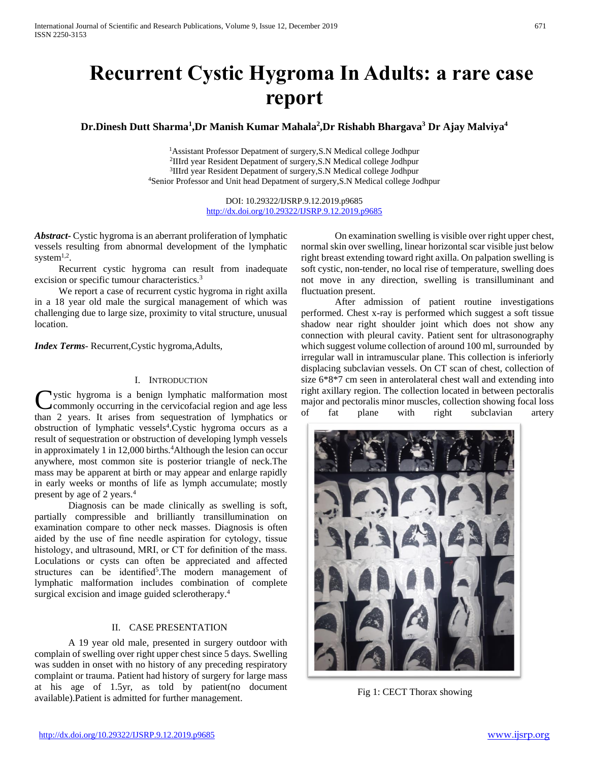# **Recurrent Cystic Hygroma In Adults: a rare case report**

**Dr.Dinesh Dutt Sharma<sup>1</sup> ,Dr Manish Kumar Mahala<sup>2</sup> ,Dr Rishabh Bhargava<sup>3</sup> Dr Ajay Malviya<sup>4</sup>**

Assistant Professor Depatment of surgery,S.N Medical college Jodhpur IIIrd year Resident Depatment of surgery,S.N Medical college Jodhpur <sup>3</sup>IIIrd year Resident Depatment of surgery, S.N Medical college Jodhpur Senior Professor and Unit head Depatment of surgery,S.N Medical college Jodhpur

> DOI: 10.29322/IJSRP.9.12.2019.p9685 <http://dx.doi.org/10.29322/IJSRP.9.12.2019.p9685>

*Abstract***-** Cystic hygroma is an aberrant proliferation of lymphatic vessels resulting from abnormal development of the lymphatic system $^{1,2}$ .

 Recurrent cystic hygroma can result from inadequate excision or specific tumour characteristics.<sup>3</sup>

 We report a case of recurrent cystic hygroma in right axilla in a 18 year old male the surgical management of which was challenging due to large size, proximity to vital structure, unusual location.

*Index Terms*- Recurrent,Cystic hygroma,Adults,

### I. INTRODUCTION

Ustic hygroma is a benign lymphatic malformation most<br>commonly occurring in the cervicofacial region and age less commonly occurring in the cervicofacial region and age less than 2 years. It arises from sequestration of lymphatics or obstruction of lymphatic vessels<sup>4</sup>. Cystic hygroma occurs as a result of sequestration or obstruction of developing lymph vessels in approximately 1 in  $12,000$  births.<sup>4</sup>Although the lesion can occur anywhere, most common site is posterior triangle of neck.The mass may be apparent at birth or may appear and enlarge rapidly in early weeks or months of life as lymph accumulate; mostly present by age of 2 years.<sup>4</sup>

 Diagnosis can be made clinically as swelling is soft, partially compressible and brilliantly transillumination on examination compare to other neck masses. Diagnosis is often aided by the use of fine needle aspiration for cytology, tissue histology, and ultrasound, MRI, or CT for definition of the mass. Loculations or cysts can often be appreciated and affected structures can be identified<sup>5</sup>. The modern management of lymphatic malformation includes combination of complete surgical excision and image guided sclerotherapy.<sup>4</sup>

# II. CASE PRESENTATION

 A 19 year old male, presented in surgery outdoor with complain of swelling over right upper chest since 5 days. Swelling was sudden in onset with no history of any preceding respiratory complaint or trauma. Patient had history of surgery for large mass at his age of 1.5yr, as told by patient(no document available).Patient is admitted for further management.

 On examination swelling is visible over right upper chest, normal skin over swelling, linear horizontal scar visible just below right breast extending toward right axilla. On palpation swelling is soft cystic, non-tender, no local rise of temperature, swelling does not move in any direction, swelling is transilluminant and fluctuation present.

 After admission of patient routine investigations performed. Chest x-ray is performed which suggest a soft tissue shadow near right shoulder joint which does not show any connection with pleural cavity. Patient sent for ultrasonography which suggest volume collection of around 100 ml, surrounded by irregular wall in intramuscular plane. This collection is inferiorly displacing subclavian vessels. On CT scan of chest, collection of size 6\*8\*7 cm seen in anterolateral chest wall and extending into right axillary region. The collection located in between pectoralis major and pectoralis minor muscles, collection showing focal loss of fat plane with right subclavian artery



Fig 1: CECT Thorax showing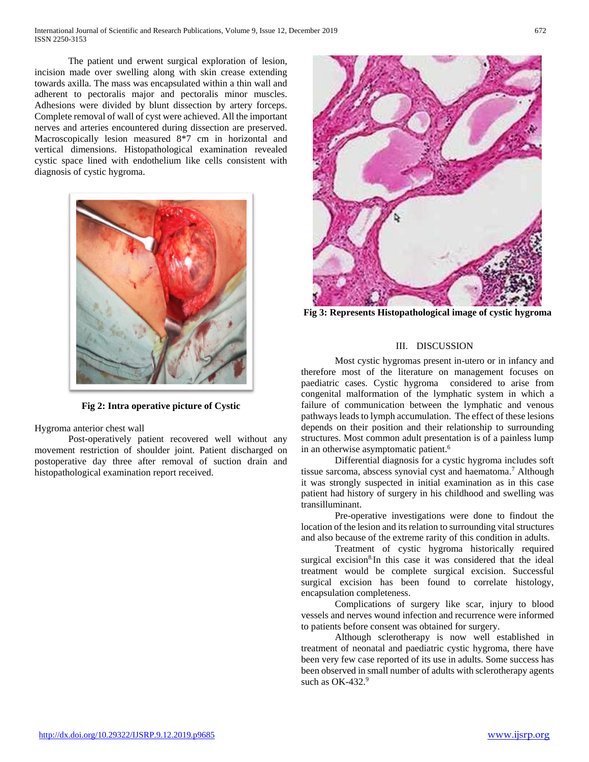The patient und erwent surgical exploration of lesion, incision made over swelling along with skin crease extending towards axilla. The mass was encapsulated within a thin wall and adherent to pectoralis major and pectoralis minor muscles. Adhesions were divided by blunt dissection by artery forceps. Complete removal of wall of cyst were achieved. All the important nerves and arteries encountered during dissection are preserved. Macroscopically lesion measured 8\*7 cm in horizontal and vertical dimensions. Histopathological examination revealed cystic space lined with endothelium like cells consistent with diagnosis of cystic hygroma.



**Fig 2: Intra operative picture of Cystic**

Hygroma anterior chest wall

 Post-operatively patient recovered well without any movement restriction of shoulder joint. Patient discharged on postoperative day three after removal of suction drain and histopathological examination report received.



**Fig 3: Represents Histopathological image of cystic hygroma**

# III. DISCUSSION

 Most cystic hygromas present in-utero or in infancy and therefore most of the literature on management focuses on paediatric cases. Cystic hygroma considered to arise from congenital malformation of the lymphatic system in which a failure of communication between the lymphatic and venous pathways leads to lymph accumulation. The effect of these lesions depends on their position and their relationship to surrounding structures. Most common adult presentation is of a painless lump in an otherwise asymptomatic patient.<sup>6</sup>

 Differential diagnosis for a cystic hygroma includes soft tissue sarcoma, abscess synovial cyst and haematoma.<sup>7</sup> Although it was strongly suspected in initial examination as in this case patient had history of surgery in his childhood and swelling was transilluminant.

 Pre-operative investigations were done to findout the location of the lesion and its relation to surrounding vital structures and also because of the extreme rarity of this condition in adults.

 Treatment of cystic hygroma historically required surgical excision<sup>8</sup>.In this case it was considered that the ideal treatment would be complete surgical excision. Successful surgical excision has been found to correlate histology, encapsulation completeness.

 Complications of surgery like scar, injury to blood vessels and nerves wound infection and recurrence were informed to patients before consent was obtained for surgery.

 Although sclerotherapy is now well established in treatment of neonatal and paediatric cystic hygroma, there have been very few case reported of its use in adults. Some success has been observed in small number of adults with sclerotherapy agents such as OK-432.9